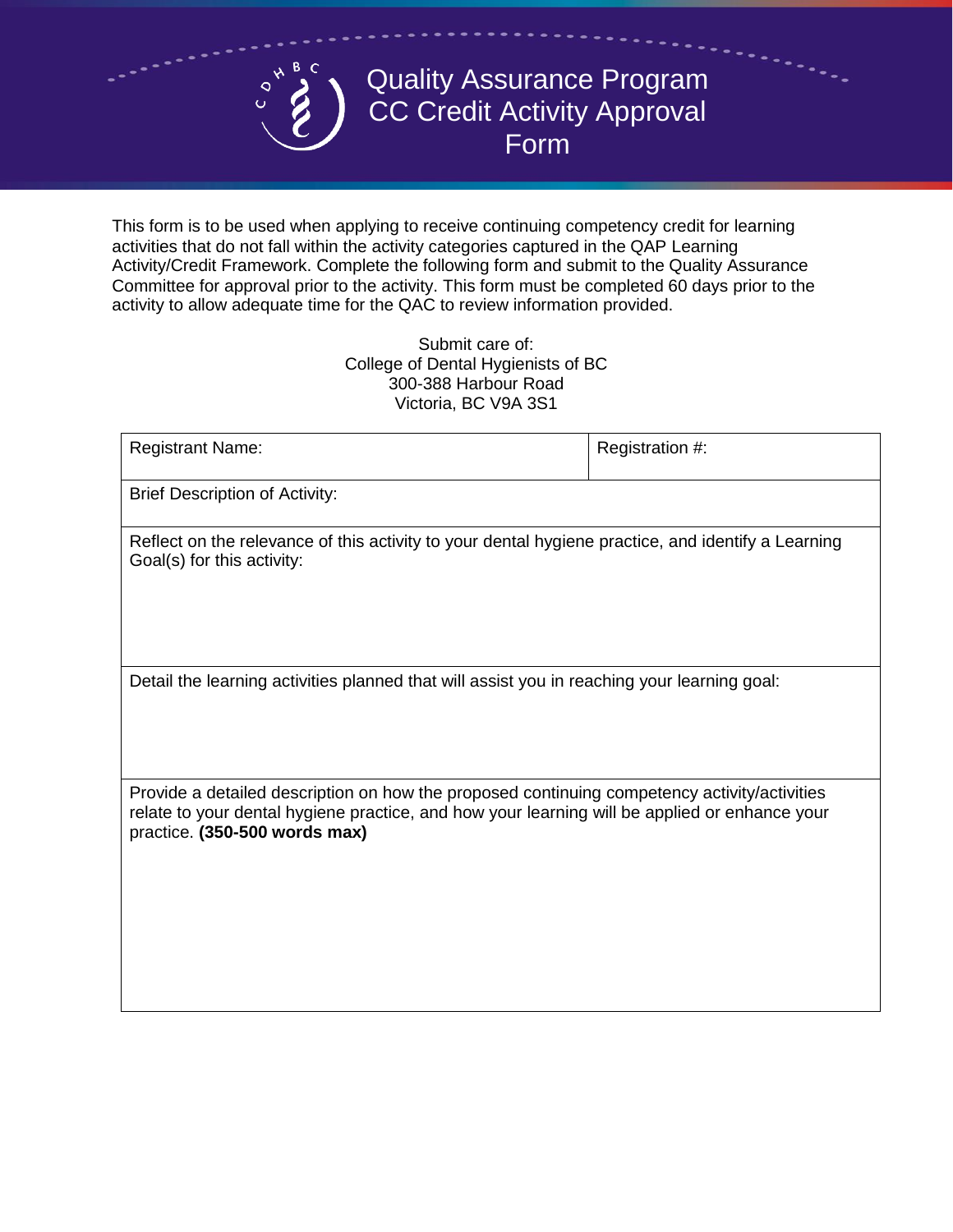## Quality Assurance Program CC Credit Activity Approval Form

This form is to be used when applying to receive continuing competency credit for learning activities that do not fall within the activity categories captured in the QAP Learning Activity/Credit Framework. Complete the following form and submit to the Quality Assurance Committee for approval prior to the activity. This form must be completed 60 days prior to the activity to allow adequate time for the QAC to review information provided.

> Submit care of: College of Dental Hygienists of BC 300-388 Harbour Road Victoria, BC V9A 3S1

| <b>Registrant Name:</b>                                                                                                                                                                                                        | Registration #: |  |  |
|--------------------------------------------------------------------------------------------------------------------------------------------------------------------------------------------------------------------------------|-----------------|--|--|
| <b>Brief Description of Activity:</b>                                                                                                                                                                                          |                 |  |  |
| Reflect on the relevance of this activity to your dental hygiene practice, and identify a Learning<br>Goal(s) for this activity:                                                                                               |                 |  |  |
| Detail the learning activities planned that will assist you in reaching your learning goal:                                                                                                                                    |                 |  |  |
| Provide a detailed description on how the proposed continuing competency activity/activities<br>relate to your dental hygiene practice, and how your learning will be applied or enhance your<br>practice. (350-500 words max) |                 |  |  |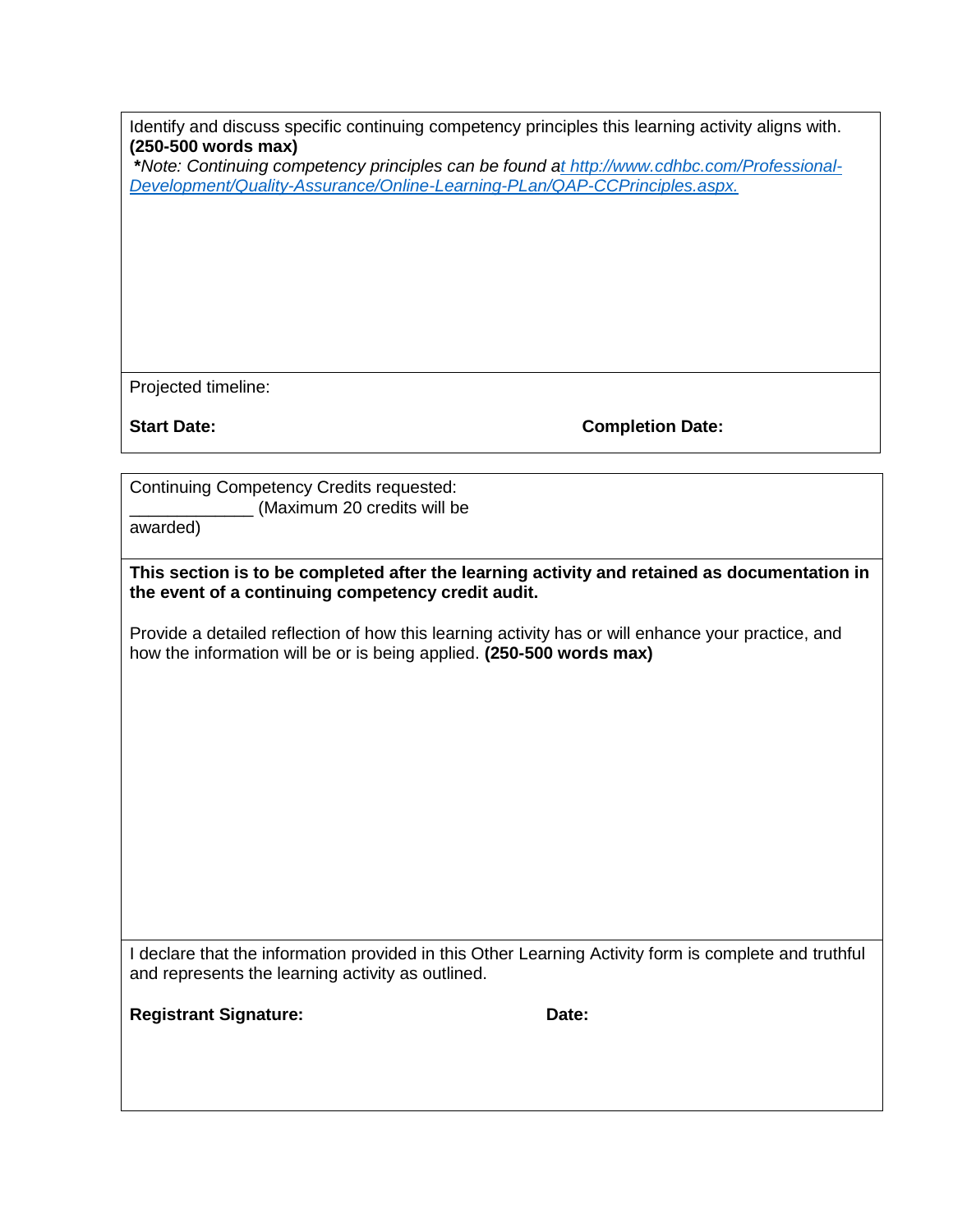| Identify and discuss specific continuing competency principles this learning activity aligns with. |  |  |
|----------------------------------------------------------------------------------------------------|--|--|
| $(250-500$ words max)                                                                              |  |  |

**\****Note: Continuing competency principles can be found [at http://www.cdhbc.com/Professional-](http://www.cdhbc.com/Professional-Development/Quality-Assurance/Online-Learning-PLan/QAP-CC-Principles.aspx)[Development/Quality-Assurance/Online-Learning-PLan/QAP-CCPrinciples.aspx.](http://www.cdhbc.com/Professional-Development/Quality-Assurance/Online-Learning-PLan/QAP-CC-Principles.aspx)*

Projected timeline:

**Start Date:** Completion Date:

Continuing Competency Credits requested: (Maximum 20 credits will be

awarded)

**This section is to be completed after the learning activity and retained as documentation in the event of a continuing competency credit audit.** 

Provide a detailed reflection of how this learning activity has or will enhance your practice, and how the information will be or is being applied. **(250-500 words max)** 

I declare that the information provided in this Other Learning Activity form is complete and truthful and represents the learning activity as outlined.

**Registrant Signature: Date: Date: Date:**